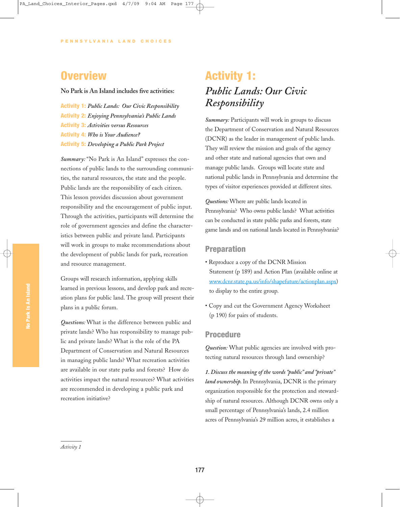### **Overview**

#### **No Park is An Island includes five activities:**

Activity 1: *Public Lands: Our Civic Responsibility* Activity 2: *Enjoying Pennsylvania's Public Lands* Activity 3: *Activities versus Resources* Activity 4: *Who is Your Audience?* Activity 5: *Developing a Public Park Project*

*Summary:* "No Park is An Island" expresses the connections of public lands to the surrounding communities, the natural resources, the state and the people. Public lands are the responsibility of each citizen. This lesson provides discussion about government responsibility and the encouragement of public input. Through the activities, participants will determine the role of government agencies and define the characteristics between public and private land. Participants will work in groups to make recommendations about the development of public lands for park, recreation and resource management.

Groups will research information, applying skills learned in previous lessons, and develop park and recreation plans for public land. The group will present their plans in a public forum.

*Questions:* What is the difference between public and private lands? Who has responsibility to manage public and private lands? What is the role of the PA Department of Conservation and Natural Resources in managing public lands? What recreation activities are available in our state parks and forests? How do activities impact the natural resources? What activities are recommended in developing a public park and recreation initiative?

# Activity 1: *Public Lands: Our Civic Responsibility*

*Summary:* Participants will work in groups to discuss the Department of Conservation and Natural Resources (DCNR) as the leader in management of public lands. They will review the mission and goals of the agency and other state and national agencies that own and manage public lands. Groups will locate state and national public lands in Pennsylvania and determine the types of visitor experiences provided at different sites.

*Questions:* Where are public lands located in Pennsylvania? Who owns public lands? What activities can be conducted in state public parks and forests, state game lands and on national lands located in Pennsylvania?

#### Preparation

- Reproduce a copy of the DCNR Mission Statement (p 189) and Action Plan (available online at www.dcnr.state.pa.us/info/shapefuture/actionplan.aspx) to display to the entire group.
- Copy and cut the Government Agency Worksheet (p 190) for pairs of students.

#### Procedure

*Question:* What public agencies are involved with protecting natural resources through land ownership?

*1. Discuss the meaning of the words "public" and "private" land ownership.*In Pennsylvania, DCNR is the primary organization responsible for the protection and stewardship of natural resources. Although DCNR owns only a small percentage of Pennsylvania's lands, 2.4 million acres of Pennsylvania's 29 million acres, it establishes a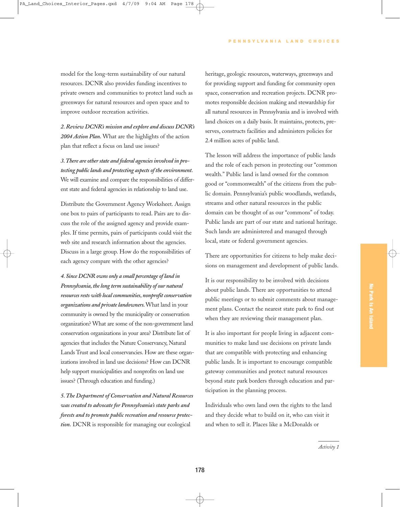model for the long-term sustainability of our natural resources. DCNR also provides funding incentives to private owners and communities to protect land such as greenways for natural resources and open space and to improve outdoor recreation activities.

*2. Review DCNR's mission and explore and discuss DCNR's 2004 Action Plan.* What are the highlights of the action plan that reflect a focus on land use issues?

*3.There are other state and federal agencies involved in protecting public lands and protecting aspects of the environment.* We will examine and compare the responsibilities of different state and federal agencies in relationship to land use.

Distribute the Government Agency Worksheet. Assign one box to pairs of participants to read. Pairs are to discuss the role of the assigned agency and provide examples. If time permits, pairs of participants could visit the web site and research information about the agencies. Discuss in a large group. How do the responsibilities of each agency compare with the other agencies?

*4. Since DCNR owns only a small percentage of land in Pennsylvania, the long term sustainability of our natural resources rests with local communities, nonprofit conservation organizations and private landowners.*What land in your community is owned by the municipality or conservation organization? What are some of the non-government land conservation organizations in your area? Distribute list of agencies that includes the Nature Conservancy, Natural Lands Trust and local conservancies. How are these organizations involved in land use decisions? How can DCNR help support municipalities and nonprofits on land use issues? (Through education and funding.)

*5. The Department of Conservation and Natural Resources was created to advocate for Pennsylvania's state parks and forests and to promote public recreation and resource protection.* DCNR is responsible for managing our ecological

heritage, geologic resources, waterways, greenways and for providing support and funding for community open space, conservation and recreation projects. DCNR promotes responsible decision making and stewardship for all natural resources in Pennsylvania and is involved with land choices on a daily basis. It maintains, protects, preserves, constructs facilities and administers policies for 2.4 million acres of public land.

The lesson will address the importance of public lands and the role of each person in protecting our "common wealth." Public land is land owned for the common good or "commonwealth" of the citizens from the public domain. Pennsylvania's public woodlands, wetlands, streams and other natural resources in the public domain can be thought of as our "commons" of today. Public lands are part of our state and national heritage. Such lands are administered and managed through local, state or federal government agencies.

There are opportunities for citizens to help make decisions on management and development of public lands.

It is our responsibility to be involved with decisions about public lands. There are opportunities to attend public meetings or to submit comments about management plans. Contact the nearest state park to find out when they are reviewing their management plan.

It is also important for people living in adjacent communities to make land use decisions on private lands that are compatible with protecting and enhancing public lands. It is important to encourage compatible gateway communities and protect natural resources beyond state park borders through education and participation in the planning process.

Individuals who own land own the rights to the land and they decide what to build on it, who can visit it and when to sell it. Places like a McDonalds or